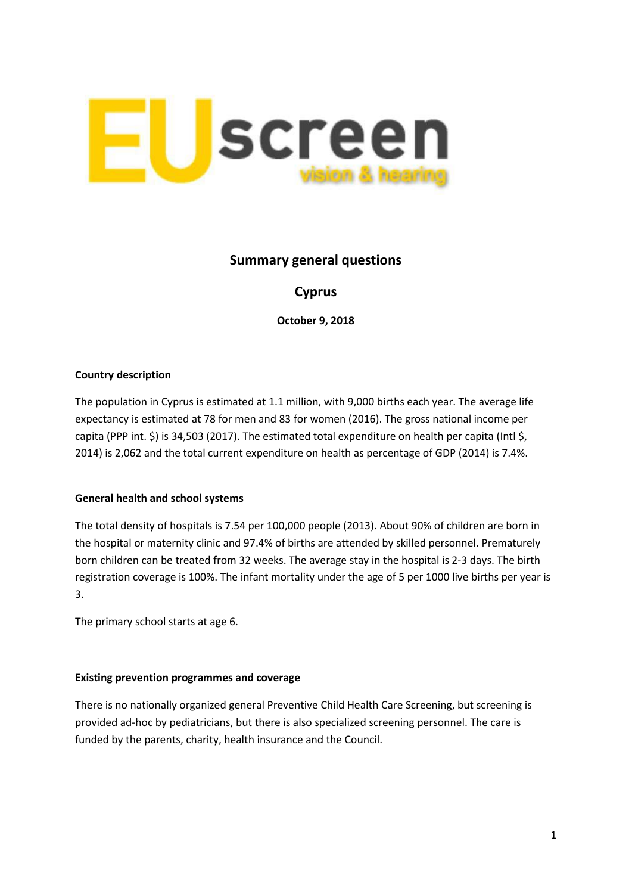

# **Summary general questions**

# **Cyprus**

**October 9, 2018**

## **Country description**

The population in Cyprus is estimated at 1.1 million, with 9,000 births each year. The average life expectancy is estimated at 78 for men and 83 for women (2016). The gross national income per capita (PPP int. \$) is 34,503 (2017). The estimated total expenditure on health per capita (Intl \$, 2014) is 2,062 and the total current expenditure on health as percentage of GDP (2014) is 7.4%.

### **General health and school systems**

The total density of hospitals is 7.54 per 100,000 people (2013). About 90% of children are born in the hospital or maternity clinic and 97.4% of births are attended by skilled personnel. Prematurely born children can be treated from 32 weeks. The average stay in the hospital is 2-3 days. The birth registration coverage is 100%. The infant mortality under the age of 5 per 1000 live births per year is 3.

The primary school starts at age 6.

### **Existing prevention programmes and coverage**

There is no nationally organized general Preventive Child Health Care Screening, but screening is provided ad-hoc by pediatricians, but there is also specialized screening personnel. The care is funded by the parents, charity, health insurance and the Council.